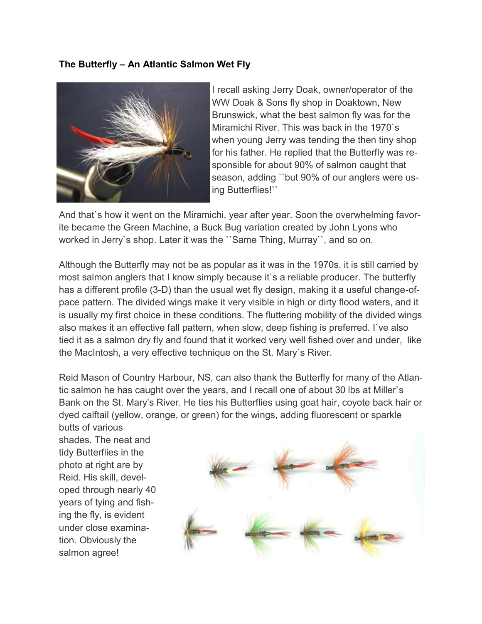## **The Butterfly – An Atlantic Salmon Wet Fly**



I recall asking Jerry Doak, owner/operator of the WW Doak & Sons fly shop in Doaktown, New Brunswick, what the best salmon fly was for the Miramichi River. This was back in the 1970`s when young Jerry was tending the then tiny shop for his father. He replied that the Butterfly was responsible for about 90% of salmon caught that season, adding ``but 90% of our anglers were using Butterflies!``

And that`s how it went on the Miramichi, year after year. Soon the overwhelming favorite became the Green Machine, a Buck Bug variation created by John Lyons who worked in Jerry`s shop. Later it was the ``Same Thing, Murray``, and so on.

Although the Butterfly may not be as popular as it was in the 1970s, it is still carried by most salmon anglers that I know simply because it`s a reliable producer. The butterfly has a different profile (3-D) than the usual wet fly design, making it a useful change-ofpace pattern. The divided wings make it very visible in high or dirty flood waters, and it is usually my first choice in these conditions. The fluttering mobility of the divided wings also makes it an effective fall pattern, when slow, deep fishing is preferred. I`ve also tied it as a salmon dry fly and found that it worked very well fished over and under, like the MacIntosh, a very effective technique on the St. Mary`s River.

Reid Mason of Country Harbour, NS, can also thank the Butterfly for many of the Atlantic salmon he has caught over the years, and I recall one of about 30 lbs at Miller`s Bank on the St. Mary's River. He ties his Butterflies using goat hair, coyote back hair or dyed calftail (yellow, orange, or green) for the wings, adding fluorescent or sparkle

butts of various shades. The neat and tidy Butterflies in the photo at right are by Reid. His skill, developed through nearly 40 years of tying and fishing the fly, is evident under close examination. Obviously the salmon agree!